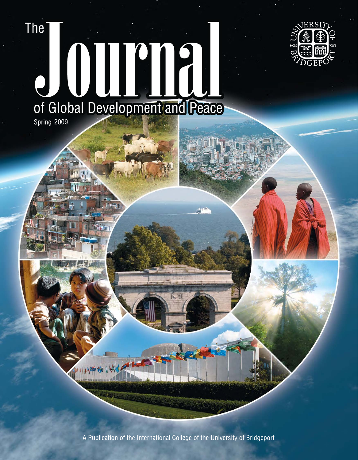# **The**



# J OUP 13 of Global Development and Peace

Spring 2009

A Publication of the International College of the University of Bridgeport

 $\sqrt{3}$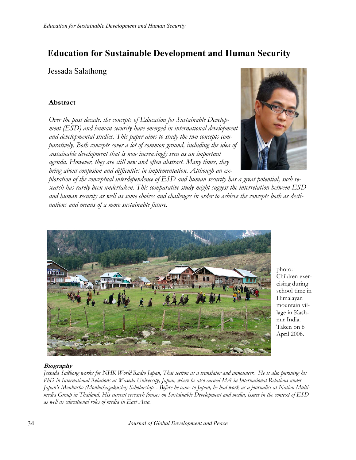## Education for Sustainable Development and Human Security

Jessada Salathong

#### Abstract

Over the past decade, the concepts of Education for Sustainable Development (ESD) and human security have emerged in international development and developmental studies. This paper aims to study the two concepts comparatively. Both concepts cover a lot of common ground, including the idea of sustainable development that is now increasingly seen as an important agenda. However, they are still new and often abstract. Many times, they bring about confusion and difficulties in implementation. Although an ex-



ploration of the conceptual interdependence of ESD and human security has a great potential, such research has rarely been undertaken. This comparative study might suggest the interrelation between ESD and human security as well as some choices and challenges in order to achieve the concepts both as destinations and means of a more sustainable future.



photo: Children exercising during school time in Himalayan mountain village in Kashmir India. Taken on 6 April 2008.

#### **Biography**

Jessada Salthong works for NHK World'Radio Japan, Thai section as a translator and announcer. He is also pursuing his PhD in International Relations at Waseda University, Japan, where he also earned MA in International Relations under Japan's Monbusho (Monbukagakusho) Scholarship. . Before he came to Japan, he had work as a journalist at Nation Multimedia Group in Thailand. His current research focuses on Sustainable Development and media, issues in the context of ESD as well as educational roles of media in East Asia.

34 Journal of Global Development and Peace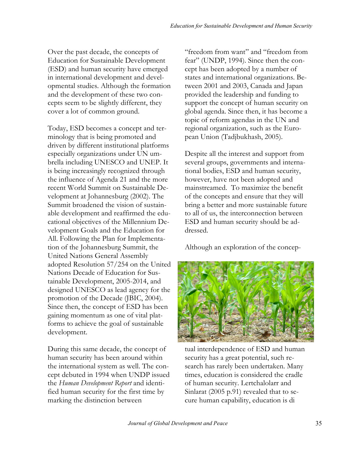Over the past decade, the concepts of Education for Sustainable Development (ESD) and human security have emerged in international development and developmental studies. Although the formation and the development of these two concepts seem to be slightly different, they cover a lot of common ground.

Today, ESD becomes a concept and terminology that is being promoted and driven by different institutional platforms especially organizations under UN umbrella including UNESCO and UNEP. It is being increasingly recognized through the influence of Agenda 21 and the more recent World Summit on Sustainable Development at Johannesburg (2002). The Summit broadened the vision of sustainable development and reaffirmed the educational objectives of the Millennium Development Goals and the Education for All. Following the Plan for Implementation of the Johannesburg Summit, the United Nations General Assembly adopted Resolution 57/254 on the United Nations Decade of Education for Sustainable Development, 2005-2014, and designed UNESCO as lead agency for the promotion of the Decade (JBIC, 2004). Since then, the concept of ESD has been gaining momentum as one of vital platforms to achieve the goal of sustainable development.

During this same decade, the concept of human security has been around within the international system as well. The concept debuted in 1994 when UNDP issued the Human Development Report and identified human security for the first time by marking the distinction between

"freedom from want" and "freedom from fear" (UNDP, 1994). Since then the concept has been adopted by a number of states and international organizations. Between 2001 and 2003, Canada and Japan provided the leadership and funding to support the concept of human security on global agenda. Since then, it has become a topic of reform agendas in the UN and regional organization, such as the European Union (Tadjbukhash, 2005).

Despite all the interest and support from several groups, governments and international bodies, ESD and human security, however, have not been adopted and mainstreamed. To maximize the benefit of the concepts and ensure that they will bring a better and more sustainable future to all of us, the interconnection between ESD and human security should be addressed.

Although an exploration of the concep-



tual interdependence of ESD and human security has a great potential, such research has rarely been undertaken. Many times, education is considered the cradle of human security. Lertchalolarr and Sinlarat (2005 p.91) revealed that to secure human capability, education is di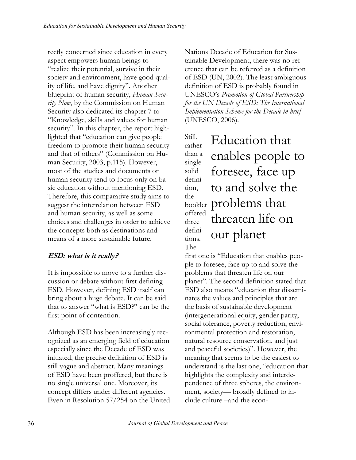rectly concerned since education in every aspect empowers human beings to "realize their potential, survive in their society and environment, have good quality of life, and have dignity". Another blueprint of human security, *Human Secu*rity Now, by the Commission on Human Security also dedicated its chapter 7 to "Knowledge, skills and values for human security". In this chapter, the report highlighted that "education can give people freedom to promote their human security and that of others" (Commission on Human Security, 2003, p.115). However, most of the studies and documents on human security tend to focus only on basic education without mentioning ESD. Therefore, this comparative study aims to suggest the interrelation between ESD and human security, as well as some choices and challenges in order to achieve the concepts both as destinations and means of a more sustainable future.

### ESD: what is it really?

It is impossible to move to a further discussion or debate without first defining ESD. However, defining ESD itself can bring about a huge debate. It can be said that to answer "what is ESD?" can be the first point of contention.

Although ESD has been increasingly recognized as an emerging field of education especially since the Decade of ESD was initiated, the precise definition of ESD is still vague and abstract. Many meanings of ESD have been proffered, but there is no single universal one. Moreover, its concept differs under different agencies. Even in Resolution 57/254 on the United

Nations Decade of Education for Sustainable Development, there was no reference that can be referred as a definition of ESD (UN, 2002). The least ambiguous definition of ESD is probably found in UNESCO's Promotion of Global Partnership for the UN Decade of ESD: The International Implementation Scheme for the Decade in brief (UNESCO, 2006).

Still, rather than a single solid definition, the booklet problems that offered three definitions. The Education that enables people to foresee, face up to and solve the threaten life on our planet

first one is "Education that enables people to foresee, face up to and solve the problems that threaten life on our planet". The second definition stated that ESD also means "education that disseminates the values and principles that are the basis of sustainable development (intergenerational equity, gender parity, social tolerance, poverty reduction, environmental protection and restoration, natural resource conservation, and just and peaceful societies)". However, the meaning that seems to be the easiest to understand is the last one, "education that highlights the complexity and interdependence of three spheres, the environment, society— broadly defined to include culture –and the econ-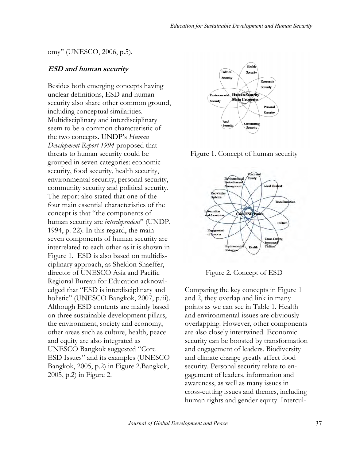#### omy" (UNESCO, 2006, p.5).

#### ESD and human security

Besides both emerging concepts having unclear definitions, ESD and human security also share other common ground, including conceptual similarities. Multidisciplinary and interdisciplinary seem to be a common characteristic of the two concepts. UNDP's Human Development Report 1994 proposed that threats to human security could be grouped in seven categories: economic security, food security, health security, environmental security, personal security, community security and political security. The report also stated that one of the four main essential characteristics of the concept is that "the components of human security are *interdependent*" (UNDP, 1994, p. 22). In this regard, the main seven components of human security are interrelated to each other as it is shown in Figure 1. ESD is also based on multidisciplinary approach, as Sheldon Shaeffer, director of UNESCO Asia and Pacific Regional Bureau for Education acknowledged that "ESD is interdisciplinary and holistic" (UNESCO Bangkok, 2007, p.iii). Although ESD contents are mainly based on three sustainable development pillars, the environment, society and economy, other areas such as culture, health, peace and equity are also integrated as UNESCO Bangkok suggested "Core ESD Issues" and its examples (UNESCO Bangkok, 2005, p.2) in Figure 2.Bangkok, 2005, p.2) in Figure 2.



Figure 1. Concept of human security



Figure 2. Concept of ESD

Comparing the key concepts in Figure 1 and 2, they overlap and link in many points as we can see in Table 1. Health and environmental issues are obviously overlapping. However, other components are also closely intertwined. Economic security can be boosted by transformation and engagement of leaders. Biodiversity and climate change greatly affect food security. Personal security relate to engagement of leaders, information and awareness, as well as many issues in cross-cutting issues and themes, including human rights and gender equity. Intercul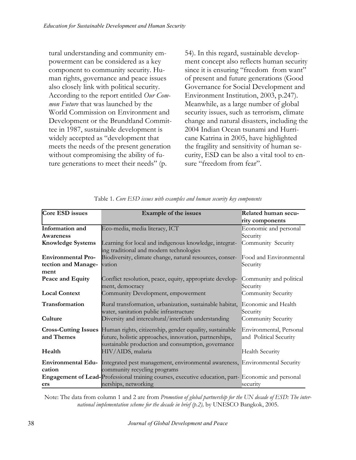tural understanding and community empowerment can be considered as a key component to community security. Human rights, governance and peace issues also closely link with political security. According to the report entitled Our Common Future that was launched by the World Commission on Environment and Development or the Brundtland Committee in 1987, sustainable development is widely accepted as "development that meets the needs of the present generation without compromising the ability of future generations to meet their needs" (p.

54). In this regard, sustainable development concept also reflects human security since it is ensuring "freedom from want" of present and future generations (Good Governance for Social Development and Environment Institution, 2003, p.247). Meanwhile, as a large number of global security issues, such as terrorism, climate change and natural disasters, including the 2004 Indian Ocean tsunami and Hurricane Katrina in 2005, have highlighted the fragility and sensitivity of human security, ESD can be also a vital tool to ensure "freedom from fear".

| <b>Core ESD issues</b>    | Example of the issues                                                                             | Related human secu-     |
|---------------------------|---------------------------------------------------------------------------------------------------|-------------------------|
|                           |                                                                                                   | rity components         |
| Information and           | Eco-media, media literacy, ICT                                                                    | Economic and personal   |
| Awareness                 |                                                                                                   | Security                |
| <b>Knowledge Systems</b>  | Learning for local and indigenous knowledge, integrat-                                            | Community Security      |
|                           | ing traditional and modern technologies                                                           |                         |
| <b>Environmental Pro-</b> | Biodiversity, climate change, natural resources, conser-                                          | Food and Environmental  |
| tection and Manage-       | vation                                                                                            | Security                |
| ment                      |                                                                                                   |                         |
| Peace and Equity          | Conflict resolution, peace, equity, appropriate develop-                                          | Community and political |
|                           | ment, democracy                                                                                   | Security                |
| <b>Local Context</b>      | Community Development, empowerment                                                                | Community Security      |
| Transformation            | Rural transformation, urbanization, sustainable habitat,                                          | Economic and Health     |
|                           | water, sanitation public infrastructure                                                           | Security                |
| Culture                   | Diversity and intercultural/interfaith understanding                                              | Community Security      |
|                           | <b>Cross-Cutting Issues</b> Human rights, citizenship, gender equality, sustainable               | Environmental, Personal |
| and Themes                | future, holistic approaches, innovation, partnerships,                                            | and Political Security  |
|                           | sustainable production and consumption, governance                                                |                         |
| Health                    | HIV/AIDS, malaria                                                                                 | <b>Health Security</b>  |
|                           |                                                                                                   |                         |
|                           | Environmental Edu- Integrated pest management, environmental awareness, Environmental Security    |                         |
| cation                    | community recycling programs                                                                      |                         |
|                           | Engagement of Lead-Professional training courses, executive education, part-Economic and personal |                         |
| ers                       | nerships, networking                                                                              | security                |

Table 1. Core ESD issues with examples and human security key components

Note: The data from column 1 and 2 are from Promotion of global partnership for the UN decade of ESD: The international implementation scheme for the decade in brief (p.2), by UNESCO Bangkok, 2005.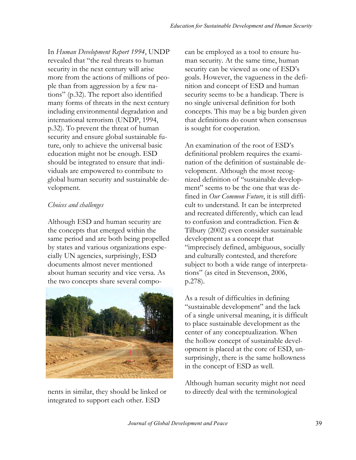In Human Development Report 1994, UNDP revealed that "the real threats to human security in the next century will arise more from the actions of millions of people than from aggression by a few nations" (p.32). The report also identified many forms of threats in the next century including environmental degradation and international terrorism (UNDP, 1994, p.32). To prevent the threat of human security and ensure global sustainable future, only to achieve the universal basic education might not be enough. ESD should be integrated to ensure that individuals are empowered to contribute to global human security and sustainable development.

#### Choices and challenges

Although ESD and human security are the concepts that emerged within the same period and are both being propelled by states and various organizations especially UN agencies, surprisingly, ESD documents almost never mentioned about human security and vice versa. As the two concepts share several compo-



nents in similar, they should be linked or integrated to support each other. ESD

can be employed as a tool to ensure human security. At the same time, human security can be viewed as one of ESD's goals. However, the vagueness in the definition and concept of ESD and human security seems to be a handicap. There is no single universal definition for both concepts. This may be a big burden given that definitions do count when consensus is sought for cooperation.

An examination of the root of ESD's definitional problem requires the examination of the definition of sustainable development. Although the most recognized definition of "sustainable development" seems to be the one that was defined in Our Common Future, it is still difficult to understand. It can be interpreted and recreated differently, which can lead to confusion and contradiction. Fien & Tilbury (2002) even consider sustainable development as a concept that "imprecisely defined, ambiguous, socially and culturally contested, and therefore subject to both a wide range of interpretations" (as cited in Stevenson, 2006, p.278).

As a result of difficulties in defining "sustainable development" and the lack of a single universal meaning, it is difficult to place sustainable development as the center of any conceptualization. When the hollow concept of sustainable development is placed at the core of ESD, unsurprisingly, there is the same hollowness in the concept of ESD as well.

Although human security might not need to directly deal with the terminological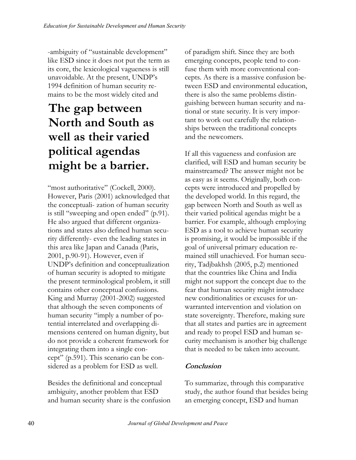-ambiguity of "sustainable development" like ESD since it does not put the term as its core, the lexicological vagueness is still unavoidable. At the present, UNDP's 1994 definition of human security remains to be the most widely cited and

# The gap between North and South as well as their varied political agendas might be a barrier.

"most authoritative" (Cockell, 2000). However, Paris (2001) acknowledged that the conceptuali- zation of human security is still "sweeping and open ended" (p.91). He also argued that different organizations and states also defined human security differently- even the leading states in this area like Japan and Canada (Paris, 2001, p.90-91). However, even if UNDP's definition and conceptualization of human security is adopted to mitigate the present terminological problem, it still contains other conceptual confusions. King and Murray (2001-2002) suggested that although the seven components of human security "imply a number of potential interrelated and overlapping dimensions centered on human dignity, but do not provide a coherent framework for integrating them into a single concept" (p.591). This scenario can be considered as a problem for ESD as well.

Besides the definitional and conceptual ambiguity, another problem that ESD and human security share is the confusion of paradigm shift. Since they are both emerging concepts, people tend to confuse them with more conventional concepts. As there is a massive confusion between ESD and environmental education, there is also the same problems distinguishing between human security and national or state security. It is very important to work out carefully the relationships between the traditional concepts and the newcomers.

If all this vagueness and confusion are clarified, will ESD and human security be mainstreamed? The answer might not be as easy as it seems. Originally, both concepts were introduced and propelled by the developed world. In this regard, the gap between North and South as well as their varied political agendas might be a barrier. For example, although employing ESD as a tool to achieve human security is promising, it would be impossible if the goal of universal primary education remained still unachieved. For human security, Tadjbakhsh (2005, p.2) mentioned that the countries like China and India might not support the concept due to the fear that human security might introduce new conditionalities or excuses for unwarranted intervention and violation on state sovereignty. Therefore, making sure that all states and parties are in agreement and ready to propel ESD and human security mechanism is another big challenge that is needed to be taken into account.

## Conclusion

To summarize, through this comparative study, the author found that besides being an emerging concept, ESD and human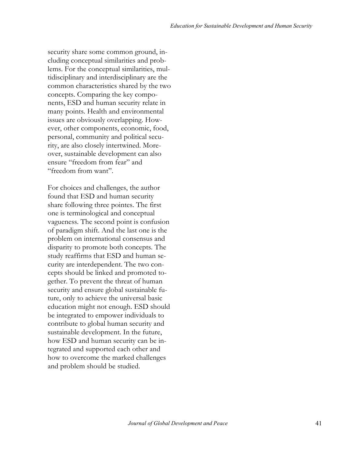security share some common ground, including conceptual similarities and problems. For the conceptual similarities, multidisciplinary and interdisciplinary are the common characteristics shared by the two concepts. Comparing the key components, ESD and human security relate in many points. Health and environmental issues are obviously overlapping. However, other components, economic, food, personal, community and political security, are also closely intertwined. Moreover, sustainable development can also ensure "freedom from fear" and "freedom from want".

For choices and challenges, the author found that ESD and human security share following three pointes. The first one is terminological and conceptual vagueness. The second point is confusion of paradigm shift. And the last one is the problem on international consensus and disparity to promote both concepts. The study reaffirms that ESD and human security are interdependent. The two concepts should be linked and promoted together. To prevent the threat of human security and ensure global sustainable future, only to achieve the universal basic education might not enough. ESD should be integrated to empower individuals to contribute to global human security and sustainable development. In the future, how ESD and human security can be integrated and supported each other and how to overcome the marked challenges and problem should be studied.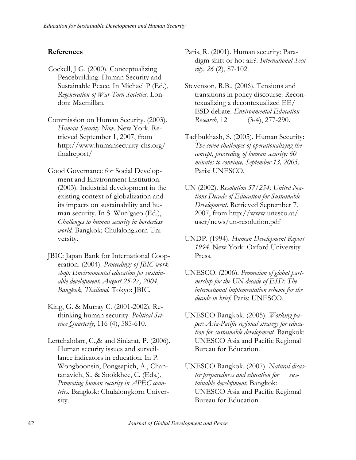#### References

- Cockell, J G. (2000). Conceptualizing Peacebuilding: Human Security and Sustainable Peace. In Michael P (Ed.), Regeneration of War-Torn Societies. London: Macmillan.
- Commission on Human Security. (2003). Human Security Now. New York. Retrieved September 1, 2007, from http://www.humansecurity-chs.org/ finalreport/
- Good Governance for Social Development and Environment Institution. (2003). Industrial development in the existing context of globalization and its impacts on sustainability and human security. In S. Wun'gaeo (Ed.), Challenges to human security in borderless world. Bangkok: Chulalongkorn University.
- JBIC: Japan Bank for International Cooperation. (2004). Proceedings of JBIC workshop: Environmental education for sustainable development, August 25-27, 2004, Bangkok, Thailand. Tokyo: JBIC.
- King, G. & Murray C. (2001-2002). Rethinking human security. Political Science Quarterly,  $116 (4)$ , 585-610.
- Lertchalolarr, C.,& and Sinlarat, P. (2006). Human security issues and surveillance indicators in education. In P. Wongboonsin, Pongsapich, A., Chantanavich, S., & Sookkhee, C. (Eds.), Promoting human security in APEC countries. Bangkok: Chulalongkorn University.
- Paris, R. (2001). Human security: Paradigm shift or hot air?. International Security, 26 (2), 87-102.
- Stevenson, R.B., (2006). Tensions and transitions in policy discourse: Recontexualizing a decontexualized EE/ ESD debate. Environmental Education Research, 12 (3-4), 277-290.
- Tadjbukhash, S. (2005). Human Security: The seven challenges of operationalizing the concept, proceeding of human security: 60 minutes to convince, September 13, 2005. Paris: UNESCO.
- UN (2002). Resolution 57/254: United Nations Decade of Education for Sustainable Development. Retrieved September 7, 2007, from http://www.unesco.at/ user/news/un-resolution.pdf
- UNDP. (1994). Human Development Report 1994. New York: Oxford University Press.
- UNESCO. (2006). Promotion of global partnership for the UN decade of ESD: The international implementation scheme for the decade in brief. Paris: UNESCO.
- UNESCO Bangkok. (2005). Working paper: Asia-Pacific regional strategy for education for sustainable development. Bangkok: UNESCO Asia and Pacific Regional Bureau for Education.
- UNESCO Bangkok. (2007). Natural disaster preparedness and education for sustainable development. Bangkok: UNESCO Asia and Pacific Regional Bureau for Education.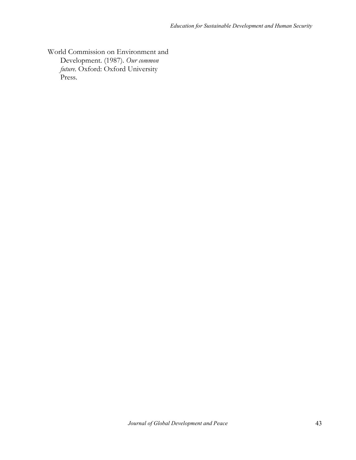World Commission on Environment and Development. (1987). Our common future. Oxford: Oxford University Press.